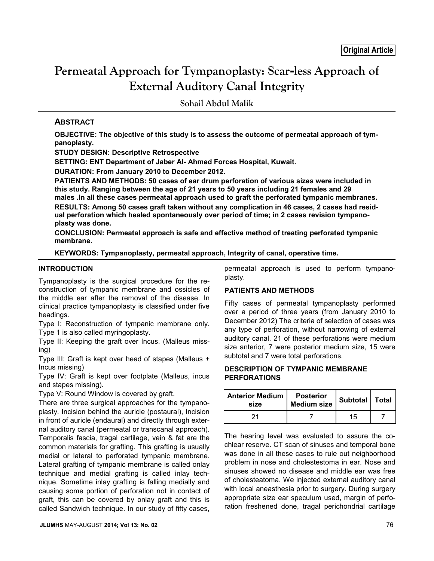# **Permeatal Approach for Tympanoplasty: Scar-less Approach of External Auditory Canal Integrity**

**Sohail Abdul Malik**

# **ABSTRACT**

**OBJECTIVE: The objective of this study is to assess the outcome of permeatal approach of tympanoplasty.**

**STUDY DESIGN: Descriptive Retrospective**

**SETTING: ENT Department of Jaber Al- Ahmed Forces Hospital, Kuwait.**

**DURATION: From January 2010 to December 2012.**

**PATIENTS AND METHODS: 50 cases of ear drum perforation of various sizes were included in this study. Ranging between the age of 21 years to 50 years including 21 females and 29 males .In all these cases permeatal approach used to graft the perforated tympanic membranes. RESULTS: Among 50 cases graft taken without any complication in 46 cases, 2 cases had resid-**

**ual perforation which healed spontaneously over period of time; in 2 cases revision tympanoplasty was done.**

**CONCLUSION: Permeatal approach is safe and effective method of treating perforated tympanic membrane.**

## **KEYWORDS: Tympanoplasty, permeatal approach, Integrity of canal, operative time.**

#### **INTRODUCTION**

Tympanoplasty is the surgical procedure for the reconstruction of tympanic membrane and ossicles of the middle ear after the removal of the disease. In clinical practice tympanoplasty is classified under five headings.

Type I: Reconstruction of tympanic membrane only. Type 1 is also called myringoplasty.

Type II: Keeping the graft over Incus. (Malleus missing)

Type III: Graft is kept over head of stapes (Malleus + Incus missing)

Type IV: Graft is kept over footplate (Malleus, incus and stapes missing).

Type V: Round Window is covered by graft.

There are three surgical approaches for the tympanoplasty. Incision behind the auricle (postaural), Incision in front of auricle (endaural) and directly through external auditory canal (permeatal or transcanal approach). Temporalis fascia, tragal cartilage, vein & fat are the common materials for grafting. This grafting is usually medial or lateral to perforated tympanic membrane. Lateral grafting of tympanic membrane is called onlay technique and medial grafting is called inlay technique. Sometime inlay grafting is falling medially and causing some portion of perforation not in contact of graft, this can be covered by onlay graft and this is called Sandwich technique. In our study of fifty cases, permeatal approach is used to perform tympanoplasty.

# **PATIENTS AND METHODS**

Fifty cases of permeatal tympanoplasty performed over a period of three years (from January 2010 to December 2012) The criteria of selection of cases was any type of perforation, without narrowing of external auditory canal. 21 of these perforations were medium size anterior, 7 were posterior medium size, 15 were subtotal and 7 were total perforations.

#### **DESCRIPTION OF TYMPANIC MEMBRANE PERFORATIONS**

| <b>Anterior Medium  </b><br>size | <b>Posterior</b><br><b>Medium size</b> | Subtotal   Total |  |
|----------------------------------|----------------------------------------|------------------|--|
|                                  |                                        | 15               |  |

The hearing level was evaluated to assure the cochlear reserve. CT scan of sinuses and temporal bone was done in all these cases to rule out neighborhood problem in nose and cholestestoma in ear. Nose and sinuses showed no disease and middle ear was free of cholesteatoma. We injected external auditory canal with local aneasthesia prior to surgery. During surgery appropriate size ear speculum used, margin of perforation freshened done, tragal perichondrial cartilage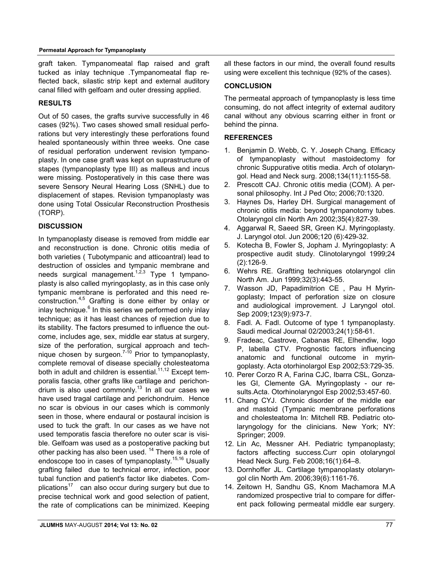graft taken. Tympanomeatal flap raised and graft tucked as inlay technique .Tympanomeatal flap reflected back, silastic strip kept and external auditory canal filled with gelfoam and outer dressing applied.

## **RESULTS**

Out of 50 cases, the grafts survive successfully in 46 cases (92%). Two cases showed small residual perforations but very interestingly these perforations found healed spontaneously within three weeks. One case of residual perforation underwent revision tympanoplasty. In one case graft was kept on suprastructure of stapes (tympanoplasty type III) as malleus and incus were missing. Postoperatively in this case there was severe Sensory Neural Hearing Loss (SNHL) due to displacement of stapes. Revision tympanoplasty was done using Total Ossicular Reconstruction Prosthesis (TORP).

## **DISCUSSION**

In tympanoplasty disease is removed from middle ear and reconstruction is done. Chronic otitis media of both varieties ( Tubotympanic and atticoantral) lead to destruction of ossicles and tympanic membrane and needs surgical management.<sup>1,2,3</sup> Type 1 tympanoplasty is also called myringoplasty, as in this case only tympanic membrane is perforated and this need reconstruction.4,5 Grafting is done either by onlay or inlay technique. $6$  In this series we performed only inlay technique; as it has least chances of rejection due to its stability. The factors presumed to influence the outcome, includes age, sex, middle ear status at surgery, size of the perforation, surgical approach and technique chosen by surgeon. $7-10$  Prior to tympanoplasty, complete removal of disease specially cholesteatoma both in adult and children is essential.<sup>11,12</sup> Except temporalis fascia, other grafts like cartilage and perichondrium is also used commonly.<sup>13</sup> In all our cases we have used tragal cartilage and perichondruim. Hence no scar is obvious in our cases which is commonly seen in those, where endaural or postaural incision is used to tuck the graft. In our cases as we have not used temporatis fascia therefore no outer scar is visible. Gelfoam was used as a postoperative packing but other packing has also been used.<sup>14</sup> There is a role of endoscope too in cases of tympanoplasty.<sup>15,16</sup> Usually grafting failed due to technical error, infection, poor tubal function and patient's factor like diabetes. Complications<sup>17</sup> can also occur during surgery but due to precise technical work and good selection of patient, the rate of complications can be minimized. Keeping all these factors in our mind, the overall found results using were excellent this technique (92% of the cases).

#### **CONCLUSION**

The permeatal approach of tympanoplasty is less time consuming, do not affect integrity of external auditory canal without any obvious scarring either in front or behind the pinna.

#### **REFERENCES**

- 1. Benjamin D. Webb, C. Y. Joseph Chang. Efficacy of tympanoplasty without mastoidectomy for chronic Suppurative otitis media. Arch of otolaryngol. Head and Neck surg. 2008;134(11):1155-58.
- 2. Prescott CAJ. Chronic otitis media (COM). A personal philosophy. Int J Ped Oto; 2006;70:1320.
- 3. Haynes Ds, Harley DH. Surgical management of chronic otitis media: beyond tympanotomy tubes. Otolaryngol clin North Am 2002;35(4):827-39.
- 4. Aggarwal R, Saeed SR, Green KJ. Myringoplasty. J. Laryngol otol. Jun 2006;120 (6):429-32.
- 5. Kotecha B, Fowler S, Jopham J. Myringoplasty: A prospective audit study. Clinotolaryngol 1999;24 (2):126-9.
- 6. Wehrs RE. Graftting techniques otolaryngol clin North Am. Jun 1999;32(3):443-55.
- 7. Wasson JD, Papadimitrion CE , Pau H Myringoplasty; Impact of perforation size on closure and audiological improvement. J Laryngol otol. Sep 2009;123(9):973-7.
- 8. Fadl. A. Fadl. Outcome of type 1 tympanoplasty. Saudi medical Journal 02/2003;24(1):58-61.
- 9. Fradeac, Castrove, Cabanas RE, Elhendiw, logo P, labella CTV. Prognostic factors influencing anatomic and functional outcome in myringoplasty. Acta otorhinolargol Esp 2002;53:729-35.
- 10. Perer Corzo R A, Farina CJC, Ibarra CSL, Gonzales GI, Clemente GA. Myringoplasty - our results.Acta. Otorhinolaryngol Esp 2002;53:457-60.
- 11. Chang CYJ. Chronic disorder of the middle ear and mastoid (Tympanic membrane perforations and cholesteatoma In: Mitchell RB. Pediatric otolaryngology for the clinicians. New York; NY: Springer; 2009.
- 12. Lin Ac, Messner AH. Pediatric tympanoplasty; factors affecting success.Curr opin otolaryngol Head Neck Surg. Feb 2008;16(1):64–8.
- 13. Dornhoffer JL. Cartilage tympanoplasty otolaryngol clin North Am. 2006;39(6):1161-76.
- 14. Zeitown H, Sandhu GS, Knom Machamora M.A randomized prospective trial to compare for different pack following permeatal middle ear surgery.